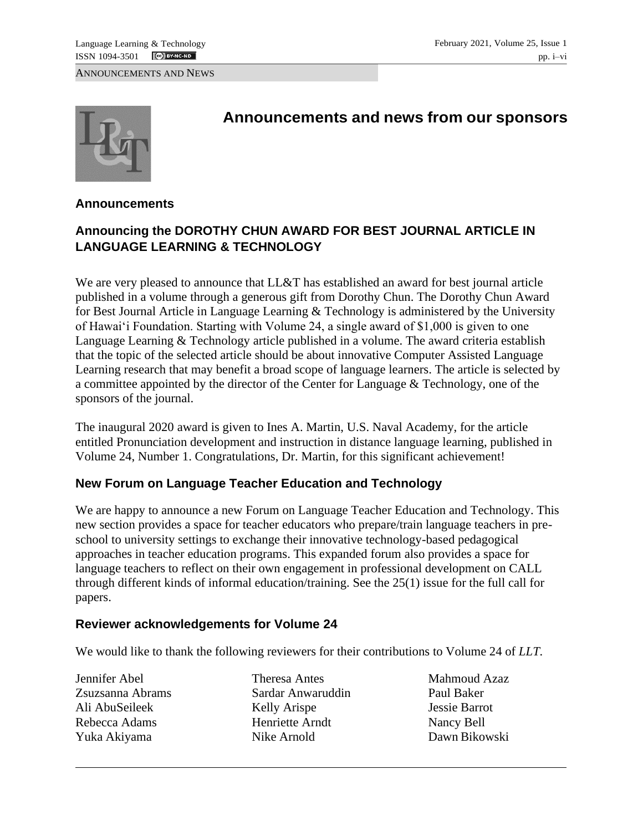ANNOUNCEMENTS AND NEWS



# **Announcements and news from our sponsors**

#### **Announcements**

# **Announcing the DOROTHY CHUN AWARD FOR BEST JOURNAL ARTICLE IN LANGUAGE LEARNING & TECHNOLOGY**

We are very pleased to announce that LL&T has established an award for best journal article published in a volume through a generous gift from Dorothy Chun. The Dorothy Chun Award for Best Journal Article in Language Learning & Technology is administered by the University of Hawai'i Foundation. Starting with Volume 24, a single award of \$1,000 is given to one Language Learning & Technology article published in a volume. The award criteria establish that the topic of the selected article should be about innovative Computer Assisted Language Learning research that may benefit a broad scope of language learners. The article is selected by a committee appointed by the director of the Center for Language & Technology, one of the sponsors of the journal.

The inaugural 2020 award is given to Ines A. Martin, U.S. Naval Academy, for the article entitled Pronunciation development and instruction in distance language learning, published in Volume 24, Number 1. Congratulations, Dr. Martin, for this significant achievement!

#### **New Forum on Language Teacher Education and Technology**

We are happy to announce a new Forum on Language Teacher Education and Technology. This new section provides a space for teacher educators who prepare/train language teachers in preschool to university settings to exchange their innovative technology-based pedagogical approaches in teacher education programs. This expanded forum also provides a space for language teachers to reflect on their own engagement in professional development on CALL through different kinds of informal education/training. See the 25(1) issue for the full call for papers.

#### **Reviewer acknowledgements for Volume 24**

We would like to thank the following reviewers for their contributions to Volume 24 of *LLT.*

Jennifer Abel Zsuzsanna Abrams Ali AbuSeileek Rebecca Adams Yuka Akiyama

Theresa Antes Sardar Anwaruddin Kelly Arispe Henriette Arndt Nike Arnold

Mahmoud Azaz Paul Baker Jessie Barrot Nancy Bell Dawn Bikowski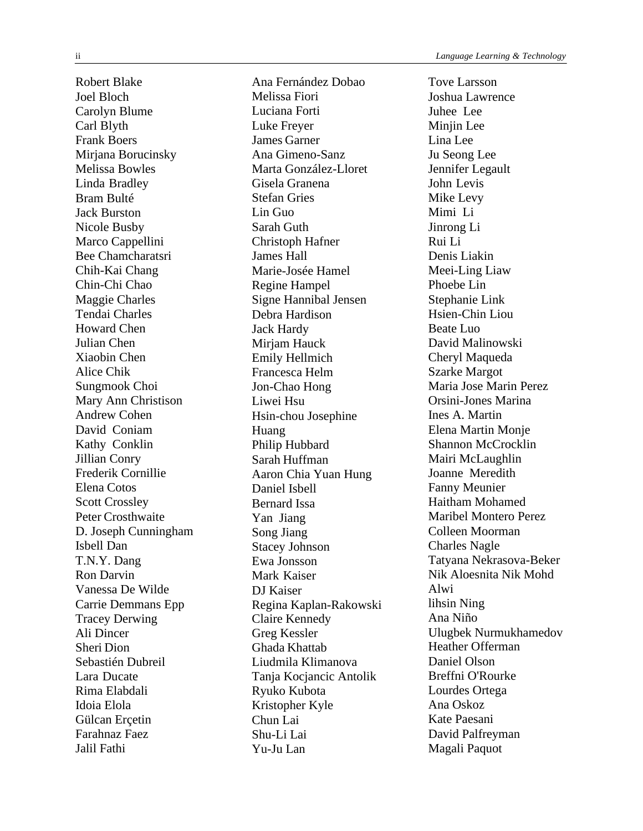Robert Blake Joel Bloch Carolyn Blume Carl Blyth Frank Boers Mirjana Borucinsky Melissa Bowles Linda Bradley Bram Bulté Jack Burston Nicole Busby Marco Cappellini Bee Chamcharatsri Chih-Kai Chang Chin-Chi Chao Maggie Charles Tendai Charles Howard Chen Julian Chen Xiaobin Chen Alice Chik Sungmook Choi Mary Ann Christison Andrew Cohen David Coniam Kathy Conklin Jillian Conry Frederik Cornillie Elena Cotos Scott Crossley Peter Crosthwaite D. Joseph Cunningham Isbell Dan T.N.Y. Dang Ron Darvin Vanessa De Wilde Carrie Demmans Epp Tracey Derwing Ali Dincer Sheri Dion Sebastién Dubreil Lara Ducate Rima Elabdali Idoia Elola Gülcan Ercetin Farahnaz Faez Jalil Fathi

Ana Fernández Dobao Melissa Fiori Luciana Forti Luke Freyer James Garner Ana Gimeno-Sanz Marta González-Lloret Gisela Granena Stefan Gries Lin Guo Sarah Guth Christoph Hafner James Hall Marie-Josée Hamel Regine Hampel Signe Hannibal Jensen Debra Hardison Jack Hardy Mirjam Hauck Emily Hellmich Francesca Helm Jon-Chao Hong Liwei Hsu Hsin-chou Josephine Huang Philip Hubbard Sarah Huffman Aaron Chia Yuan Hung Daniel Isbell Bernard Issa Yan Jiang Song Jiang Stacey Johnson Ewa Jonsson Mark Kaiser DJ Kaiser Regina Kaplan-Rakowski Claire Kennedy Greg Kessler Ghada Khattab Liudmila Klimanova Tanja Kocjancic Antolik Ryuko Kubota Kristopher Kyle Chun Lai Shu-Li Lai Yu-Ju Lan

Tove Larsson Joshua Lawrence Juhee Lee Minjin Lee Lina Lee Ju Seong Lee Jennifer Legault John Levis Mike Levy Mimi Li Jinrong Li Rui Li Denis Liakin Meei-Ling Liaw Phoebe Lin Stephanie Link Hsien-Chin Liou Beate Luo David Malinowski Cheryl Maqueda Szarke Margot Maria Jose Marin Perez Orsini-Jones Marina Ines A. Martin Elena Martin Monje Shannon McCrocklin Mairi McLaughlin Joanne Meredith Fanny Meunier Haitham Mohamed Maribel Montero Perez Colleen Moorman Charles Nagle Tatyana Nekrasova-Beker Nik Aloesnita Nik Mohd Alwi lihsin Ning Ana Niño Ulugbek Nurmukhamedov Heather Offerman Daniel Olson Breffni O'Rourke Lourdes Ortega Ana Oskoz Kate Paesani David Palfreyman Magali Paquot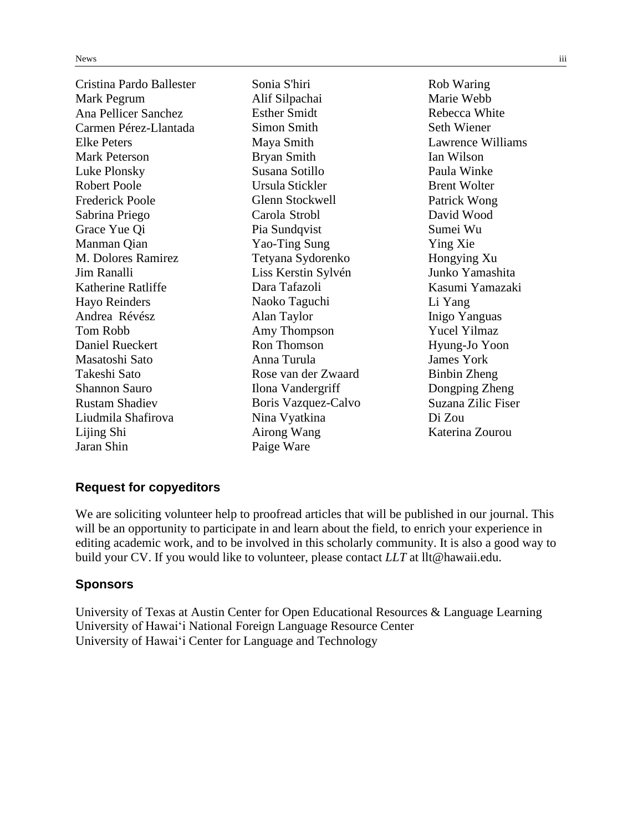| Cristina Pardo Ballester<br>Mark Pegrum<br>Ana Pellicer Sanchez | Sonia S'hiri<br>Alif Silpachai<br><b>Esther Smidt</b> | Rob Waring<br>Marie Webb<br>Rebecca White |
|-----------------------------------------------------------------|-------------------------------------------------------|-------------------------------------------|
| Carmen Pérez-Llantada                                           | <b>Simon Smith</b>                                    | <b>Seth Wiener</b>                        |
| Elke Peters                                                     | Maya Smith                                            | Lawrence Williams                         |
| <b>Mark Peterson</b>                                            | <b>Bryan Smith</b>                                    | Ian Wilson                                |
| Luke Plonsky                                                    | Susana Sotillo                                        | Paula Winke                               |
| <b>Robert Poole</b>                                             | Ursula Stickler                                       | <b>Brent Wolter</b>                       |
| <b>Frederick Poole</b>                                          | <b>Glenn Stockwell</b>                                | Patrick Wong                              |
| Sabrina Priego                                                  | Carola Strobl                                         | David Wood                                |
| Grace Yue Qi                                                    | Pia Sundqvist                                         | Sumei Wu                                  |
| Manman Qian                                                     | Yao-Ting Sung                                         | Ying Xie                                  |
| M. Dolores Ramirez                                              | Tetyana Sydorenko                                     | Hongying Xu                               |
| Jim Ranalli                                                     | Liss Kerstin Sylvén                                   | Junko Yamashita                           |
| Katherine Ratliffe                                              | Dara Tafazoli                                         | Kasumi Yamazaki                           |
| <b>Hayo Reinders</b>                                            | Naoko Taguchi                                         | Li Yang                                   |
| Andrea Révész                                                   | Alan Taylor                                           | Inigo Yanguas                             |
| Tom Robb                                                        | Amy Thompson                                          | <b>Yucel Yilmaz</b>                       |
| <b>Daniel Rueckert</b>                                          | <b>Ron Thomson</b>                                    | Hyung-Jo Yoon                             |
| Masatoshi Sato                                                  | Anna Turula                                           | James York                                |
| Takeshi Sato                                                    | Rose van der Zwaard                                   | Binbin Zheng                              |
| <b>Shannon Sauro</b>                                            | Ilona Vandergriff                                     | Dongping Zheng                            |
| <b>Rustam Shadiev</b>                                           | Boris Vazquez-Calvo                                   | Suzana Zilic Fiser                        |
| Liudmila Shafirova                                              | Nina Vyatkina                                         | Di Zou                                    |
| Lijing Shi                                                      | Airong Wang                                           | Katerina Zourou                           |
| Jaran Shin                                                      | Paige Ware                                            |                                           |

#### **Request for copyeditors**

We are soliciting volunteer help to proofread articles that will be published in our journal. This will be an opportunity to participate in and learn about the field, to enrich your experience in editing academic work, and to be involved in this scholarly community. It is also a good way to build your CV. If you would like to volunteer, please contact *LLT* at [llt@hawaii.edu.](mailto:llt@hawaii.edu)

#### **Sponsors**

University of Texas at Austin Center for Open Educational Resources & Language Learning University of Hawai'i National Foreign Language Resource Center University of Hawai'i Center for Language and Technology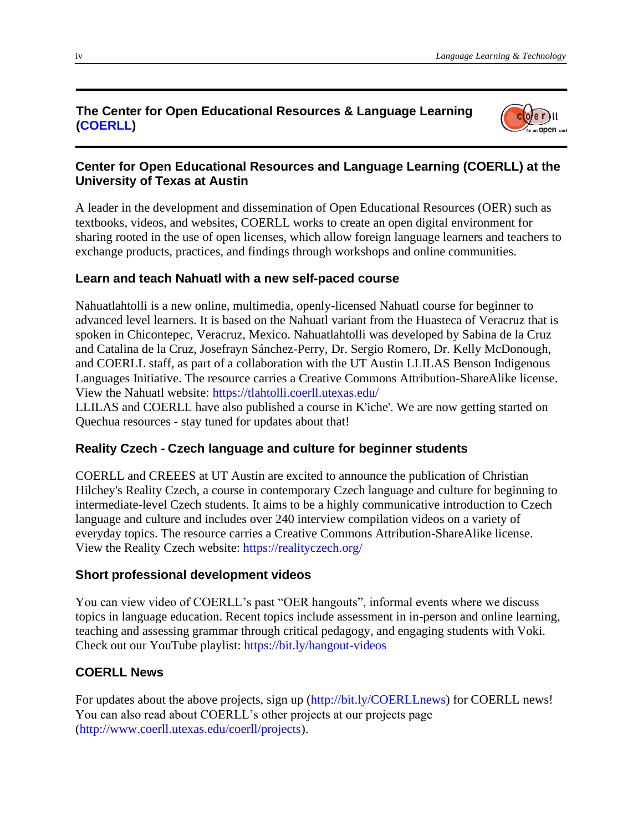#### **The Center for Open Educational Resources & Language Learning (COERLL)**



## **Center for Open Educational Resources and Language Learning (COERLL) at the University of Texas at Austin**

A leader in the development and dissemination of Open Educational Resources (OER) such as textbooks, videos, and websites, COERLL works to create an open digital environment for sharing rooted in the use of open licenses, which allow foreign language learners and teachers to exchange products, practices, and findings through workshops and online communities.

#### **Learn and teach Nahuatl with a new self-paced course**

Nahuatlahtolli is a new online, multimedia, openly-licensed Nahuatl course for beginner to advanced level learners. It is based on the Nahuatl variant from the Huasteca of Veracruz that is spoken in Chicontepec, Veracruz, Mexico. Nahuatlahtolli was developed by Sabina de la Cruz and Catalina de la Cruz, Josefrayn Sánchez-Perry, Dr. Sergio Romero, Dr. Kelly McDonough, and COERLL staff, as part of a collaboration with the UT Austin LLILAS Benson Indigenous Languages Initiative. The resource carries a Creative Commons Attribution-ShareAlike license. View the Nahuatl website: https://tlahtolli.coerll.utexas.edu/

LLILAS and COERLL have also published a course in K'iche'. We are now getting started on Quechua resources - stay tuned for updates about that!

#### **Reality Czech - Czech language and culture for beginner students**

COERLL and CREEES at UT Austin are excited to announce the publication of Christian Hilchey's Reality Czech, a course in contemporary Czech language and culture for beginning to intermediate-level Czech students. It aims to be a highly communicative introduction to Czech language and culture and includes over 240 interview compilation videos on a variety of everyday topics. The resource carries a Creative Commons Attribution-ShareAlike license. View the Reality Czech website: https://realityczech.org/

#### **Short professional development videos**

You can view video of COERLL's past "OER hangouts", informal events where we discuss topics in language education. Recent topics include assessment in in-person and online learning, teaching and assessing grammar through critical pedagogy, and engaging students with Voki. Check out our YouTube playlist: https://bit.ly/hangout-videos

# **COERLL News**

For updates about the above projects, sign up [\(http://bit.ly/COERLLnews\)](http://bit.ly/COERLLnews)) for COERLL news! You can also read about COERLL's other projects at our projects page [\(http://www.coerll.utexas.edu/coerll/projects\).](http://www.coerll.utexas.edu/coerll/projects))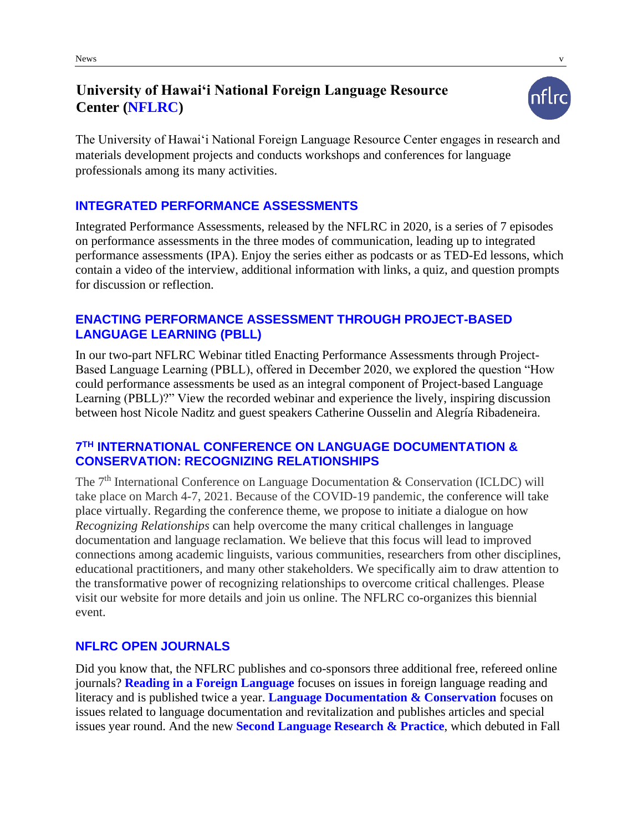# **University of Hawai'i National Foreign Language Resource Center (NFLRC)**



The University of Hawai'i National Foreign Language Resource Center engages in research and materials development projects and conducts workshops and conferences for language professionals among its many activities.

## **INTEGRATED PERFORMANCE ASSESSMENTS**

Integrated Performance Assessments, released by the NFLRC in 2020, is a series of 7 episodes on performance assessments in the three modes of communication, leading up to integrated performance assessments (IPA). Enjoy the series either as podcasts or as TED-Ed lessons, which contain a video of the interview, additional information with links, a quiz, and question prompts for discussion or reflection.

## **ENACTING PERFORMANCE ASSESSMENT THROUGH PROJECT-BASED LANGUAGE LEARNING (PBLL)**

In our two-part NFLRC Webinar titled Enacting Performance Assessments through Project-Based Language Learning (PBLL), offered in December 2020, we explored the question "How could performance assessments be used as an integral component of Project-based Language Learning (PBLL)?" View the recorded webinar and experience the lively, inspiring discussion between host Nicole Naditz and guest speakers Catherine Ousselin and Alegría Ribadeneira.

#### **7 TH INTERNATIONAL CONFERENCE ON LANGUAGE DOCUMENTATION & CONSERVATION: RECOGNIZING RELATIONSHIPS**

The  $7<sup>th</sup>$  International Conference on Language Documentation & Conservation (ICLDC) will take place on March 4-7, 2021. Because of the COVID-19 pandemic, the conference will take place virtually. Regarding the conference theme, we propose to initiate a dialogue on how *Recognizing Relationships* can help overcome the many critical challenges in language documentation and language reclamation. We believe that this focus will lead to improved connections among academic linguists, various communities, researchers from other disciplines, educational practitioners, and many other stakeholders. We specifically aim to draw attention to the transformative power of recognizing relationships to overcome critical challenges. Please visit our website for more details and join us online. The NFLRC co-organizes this biennial event.

#### **NFLRC OPEN JOURNALS**

Did you know that, the NFLRC publishes and co-sponsors three additional free, refereed online journals? **Reading in a Foreign Language** focuses on issues in foreign language reading and literacy and is published twice a year. **Language Documentation & Conservation** focuses on issues related to language documentation and revitalization and publishes articles and special issues year round. And the new **Second Language Research & Practice**, which debuted in Fall